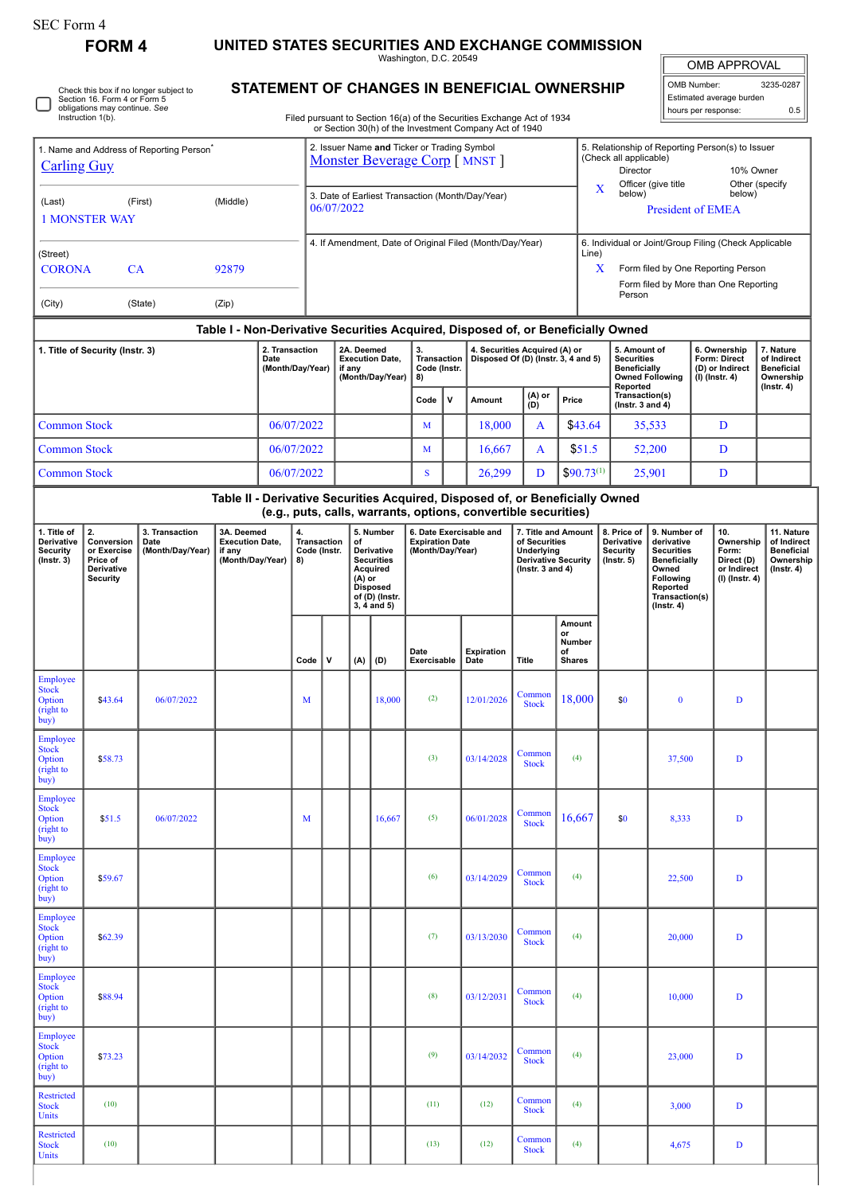∩

## **FORM 4 UNITED STATES SECURITIES AND EXCHANGE COMMISSION**

Washington, D.C. 20549

 $\mathbb{I}$ OMB APPROVAL

| OMB Number:              | 3235-0287 |  |  |  |  |  |  |
|--------------------------|-----------|--|--|--|--|--|--|
| Estimated average burden |           |  |  |  |  |  |  |
| hours per response:      | 0.5       |  |  |  |  |  |  |

Check this box if no longer subject to Section 16. Form 4 or Form 5 obligations may continue. *See* Instruction 1(b).

## **STATEMENT OF CHANGES IN BENEFICIAL OWNERSHIP**

Filed pursuant to Section 16(a) of the Securities Exchange Act of 1934 or Section 30(h) of the Investment Company Act of 1940

| 1. Name and Address of Reporting Person <sup>®</sup><br><b>Carling Guy</b>    |                                                                              |                                            |                                                                    |  |                                                                                                                                                                               | 2. Issuer Name and Ticker or Trading Symbol<br>Monster Beverage Corp [ MNST ] |                                                          |        |                                                                       |             |                                                                                                                                                 |                                                                                   |                                               | 5. Relationship of Reporting Person(s) to Issuer<br>(Check all applicable)<br>Director<br>10% Owner |                                                                                                                                                              |                                                                                                                                   |                                                                   |                                                                                 |  |  |
|-------------------------------------------------------------------------------|------------------------------------------------------------------------------|--------------------------------------------|--------------------------------------------------------------------|--|-------------------------------------------------------------------------------------------------------------------------------------------------------------------------------|-------------------------------------------------------------------------------|----------------------------------------------------------|--------|-----------------------------------------------------------------------|-------------|-------------------------------------------------------------------------------------------------------------------------------------------------|-----------------------------------------------------------------------------------|-----------------------------------------------|-----------------------------------------------------------------------------------------------------|--------------------------------------------------------------------------------------------------------------------------------------------------------------|-----------------------------------------------------------------------------------------------------------------------------------|-------------------------------------------------------------------|---------------------------------------------------------------------------------|--|--|
| (Middle)<br>(Last)<br>(First)<br><b>1 MONSTER WAY</b>                         |                                                                              |                                            |                                                                    |  |                                                                                                                                                                               | 3. Date of Earliest Transaction (Month/Day/Year)<br>06/07/2022                |                                                          |        |                                                                       |             |                                                                                                                                                 |                                                                                   |                                               | Other (specify<br>Officer (give title<br>X<br>below)<br>below)<br><b>President of EMEA</b>          |                                                                                                                                                              |                                                                                                                                   |                                                                   |                                                                                 |  |  |
| (Street)<br><b>CORONA</b><br>CA<br>92879<br>(Zip)<br>(City)<br>(State)        |                                                                              |                                            |                                                                    |  |                                                                                                                                                                               |                                                                               | 4. If Amendment, Date of Original Filed (Month/Day/Year) |        |                                                                       |             |                                                                                                                                                 |                                                                                   |                                               |                                                                                                     | 6. Individual or Joint/Group Filing (Check Applicable<br>Line)<br>X<br>Form filed by One Reporting Person<br>Form filed by More than One Reporting<br>Person |                                                                                                                                   |                                                                   |                                                                                 |  |  |
|                                                                               |                                                                              |                                            |                                                                    |  |                                                                                                                                                                               |                                                                               |                                                          |        |                                                                       |             |                                                                                                                                                 |                                                                                   |                                               | Table I - Non-Derivative Securities Acquired, Disposed of, or Beneficially Owned                    |                                                                                                                                                              |                                                                                                                                   |                                                                   |                                                                                 |  |  |
| 2. Transaction<br>1. Title of Security (Instr. 3)<br>Date<br>(Month/Day/Year) |                                                                              |                                            |                                                                    |  |                                                                                                                                                                               | 2A. Deemed<br><b>Execution Date,</b><br>if any<br>(Month/Day/Year)            |                                                          |        | 3.<br>Transaction<br>Code (Instr.<br>8)                               |             | 4. Securities Acquired (A) or<br>Disposed Of (D) (Instr. 3, 4 and 5)                                                                            |                                                                                   |                                               |                                                                                                     | 5. Amount of<br><b>Securities</b><br><b>Beneficially</b><br><b>Owned Following</b><br>Reported                                                               |                                                                                                                                   | 6. Ownership<br>Form: Direct<br>(D) or Indirect<br>(I) (Instr. 4) | 7. Nature<br>of Indirect<br><b>Beneficial</b><br>Ownership<br>$($ Instr. 4 $)$  |  |  |
|                                                                               |                                                                              |                                            |                                                                    |  |                                                                                                                                                                               |                                                                               |                                                          |        | Code                                                                  | $\mathbf v$ | Amount                                                                                                                                          | (A) or<br>(D)                                                                     |                                               | Transaction(s)<br>Price<br>(Instr. 3 and $4$ )                                                      |                                                                                                                                                              |                                                                                                                                   |                                                                   |                                                                                 |  |  |
| <b>Common Stock</b>                                                           |                                                                              |                                            |                                                                    |  | 06/07/2022                                                                                                                                                                    |                                                                               |                                                          |        | M                                                                     |             | 18,000                                                                                                                                          | A                                                                                 | \$43.64                                       |                                                                                                     | 35,533                                                                                                                                                       |                                                                                                                                   | D                                                                 |                                                                                 |  |  |
| <b>Common Stock</b>                                                           |                                                                              |                                            |                                                                    |  | 06/07/2022                                                                                                                                                                    |                                                                               |                                                          |        | M                                                                     |             | 16,667                                                                                                                                          | A                                                                                 | \$51.5                                        |                                                                                                     | 52,200                                                                                                                                                       |                                                                                                                                   | D                                                                 |                                                                                 |  |  |
| <b>Common Stock</b>                                                           |                                                                              |                                            |                                                                    |  | 06/07/2022                                                                                                                                                                    |                                                                               |                                                          |        | S                                                                     |             | 26,299                                                                                                                                          | D                                                                                 |                                               | $$90.73^{(1)}$<br>25,901<br>D                                                                       |                                                                                                                                                              |                                                                                                                                   |                                                                   |                                                                                 |  |  |
|                                                                               |                                                                              |                                            |                                                                    |  |                                                                                                                                                                               |                                                                               |                                                          |        |                                                                       |             | Table II - Derivative Securities Acquired, Disposed of, or Beneficially Owned<br>(e.g., puts, calls, warrants, options, convertible securities) |                                                                                   |                                               |                                                                                                     |                                                                                                                                                              |                                                                                                                                   |                                                                   |                                                                                 |  |  |
| 1. Title of<br>Derivative<br><b>Security</b><br>$($ Instr. 3 $)$              | 2.<br>Conversion<br>or Exercise<br>Price of<br>Derivative<br><b>Security</b> | 3. Transaction<br>Date<br>(Month/Day/Year) | 3A. Deemed<br><b>Execution Date,</b><br>if any<br>(Month/Day/Year) |  | 4.<br>5. Number<br>Transaction<br>of<br>Code (Instr.<br>Derivative<br><b>Securities</b><br>8)<br>Acquired<br>$(A)$ or<br><b>Disposed</b><br>of (D) (Instr.<br>$3, 4$ and $5)$ |                                                                               |                                                          |        | 6. Date Exercisable and<br><b>Expiration Date</b><br>(Month/Day/Year) |             |                                                                                                                                                 | of Securities<br>Underlying<br><b>Derivative Security</b><br>( $lnstr. 3 and 4$ ) | 7. Title and Amount                           | 8. Price of<br>Derivative<br><b>Security</b><br>$($ lnstr. 5 $)$                                    | derivative<br><b>Securities</b><br>Owned<br>Following<br>Reported<br>$($ lnstr. 4 $)$                                                                        | 9. Number of<br>10.<br>Ownership<br>Form:<br><b>Beneficially</b><br>Direct (D)<br>or Indirect<br>(I) (Instr. 4)<br>Transaction(s) |                                                                   | 11. Nature<br>of Indirect<br><b>Beneficial</b><br>Ownership<br>$($ lnstr. 4 $)$ |  |  |
|                                                                               |                                                                              |                                            |                                                                    |  | Code                                                                                                                                                                          | v                                                                             | (A)                                                      | (D)    | Date<br>Exercisable                                                   |             | <b>Expiration</b><br>Date                                                                                                                       | Title                                                                             | Amount<br>or<br>Number<br>of<br><b>Shares</b> |                                                                                                     |                                                                                                                                                              |                                                                                                                                   |                                                                   |                                                                                 |  |  |
| Employee<br><b>Stock</b><br>Option<br>(right to<br>buy)                       | \$43.64                                                                      | 06/07/2022                                 |                                                                    |  | M                                                                                                                                                                             |                                                                               |                                                          | 18,000 | (2)                                                                   |             | 12/01/2026                                                                                                                                      | Common<br><b>Stock</b>                                                            | 18,000                                        | \$0                                                                                                 | $\bf{0}$                                                                                                                                                     |                                                                                                                                   | D                                                                 |                                                                                 |  |  |
| Employee<br><b>Stock</b><br>Option<br>(right to<br>buy)                       | \$58.73                                                                      |                                            |                                                                    |  |                                                                                                                                                                               |                                                                               |                                                          |        | (3)                                                                   |             | 03/14/2028                                                                                                                                      | Common<br><b>Stock</b>                                                            | (4)                                           |                                                                                                     | 37,500                                                                                                                                                       |                                                                                                                                   | D                                                                 |                                                                                 |  |  |
| <b>Employee</b><br><b>Stock</b><br>Option<br>(right to<br>buy)                | \$51.5                                                                       | 06/07/2022                                 |                                                                    |  | M                                                                                                                                                                             |                                                                               |                                                          | 16,667 | (5)                                                                   |             | 06/01/2028                                                                                                                                      | Common<br><b>Stock</b>                                                            | 16,667                                        | \$0                                                                                                 | 8,333                                                                                                                                                        |                                                                                                                                   | D                                                                 |                                                                                 |  |  |
| Employee<br><b>Stock</b><br>Option<br>(right to<br>buy)                       | \$59.67                                                                      |                                            |                                                                    |  |                                                                                                                                                                               |                                                                               |                                                          |        | (6)                                                                   |             | 03/14/2029                                                                                                                                      | Common<br><b>Stock</b>                                                            | (4)                                           |                                                                                                     | 22,500                                                                                                                                                       |                                                                                                                                   | D                                                                 |                                                                                 |  |  |
| Employee<br><b>Stock</b><br>Option<br>(right to<br>buy)                       | \$62.39                                                                      |                                            |                                                                    |  |                                                                                                                                                                               |                                                                               |                                                          |        | (7)                                                                   |             | 03/13/2030                                                                                                                                      | Common<br><b>Stock</b>                                                            | (4)                                           |                                                                                                     | 20,000                                                                                                                                                       |                                                                                                                                   | D                                                                 |                                                                                 |  |  |
| Employee<br><b>Stock</b><br>Option<br>(right to<br>buy)                       | \$88.94                                                                      |                                            |                                                                    |  |                                                                                                                                                                               |                                                                               |                                                          |        | (8)                                                                   |             | 03/12/2031                                                                                                                                      | Common<br><b>Stock</b>                                                            | (4)                                           |                                                                                                     | 10,000                                                                                                                                                       |                                                                                                                                   | D                                                                 |                                                                                 |  |  |
| Employee<br><b>Stock</b><br>Option<br>(right to<br>buy)                       | \$73.23                                                                      |                                            |                                                                    |  |                                                                                                                                                                               |                                                                               |                                                          |        | (9)                                                                   |             | 03/14/2032                                                                                                                                      | Common<br><b>Stock</b>                                                            | (4)                                           |                                                                                                     | 23,000                                                                                                                                                       |                                                                                                                                   | D                                                                 |                                                                                 |  |  |
| <b>Restricted</b><br><b>Stock</b><br>Units                                    | (10)                                                                         |                                            |                                                                    |  |                                                                                                                                                                               |                                                                               |                                                          |        | (11)                                                                  |             | (12)                                                                                                                                            | Common<br><b>Stock</b>                                                            | (4)                                           |                                                                                                     | 3,000                                                                                                                                                        |                                                                                                                                   | D                                                                 |                                                                                 |  |  |
| Restricted<br><b>Stock</b><br>Units                                           | (10)                                                                         |                                            |                                                                    |  |                                                                                                                                                                               |                                                                               |                                                          |        | (13)                                                                  |             | (12)                                                                                                                                            | Common<br><b>Stock</b>                                                            | (4)                                           |                                                                                                     | 4,675                                                                                                                                                        |                                                                                                                                   | D                                                                 |                                                                                 |  |  |